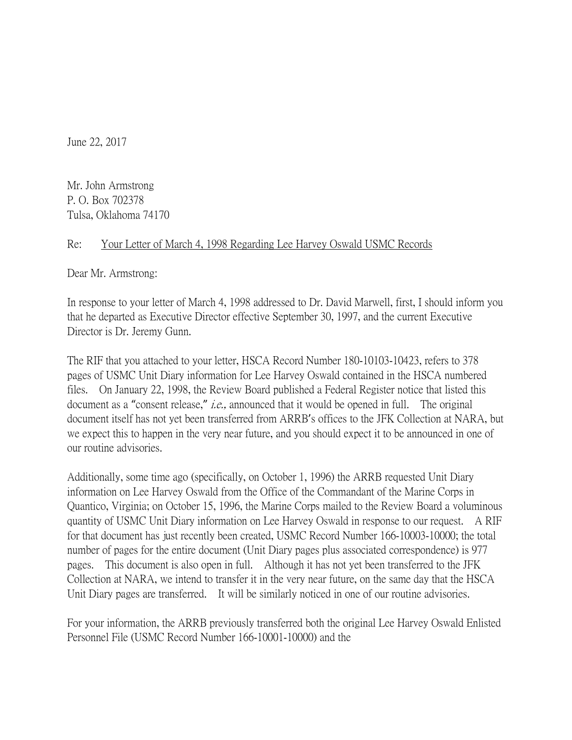June 22, 2017

Mr. John Armstrong P. O. Box 702378 Tulsa, Oklahoma 74170

## Re: Your Letter of March 4, 1998 Regarding Lee Harvey Oswald USMC Records

Dear Mr. Armstrong:

In response to your letter of March 4, 1998 addressed to Dr. David Marwell, first, I should inform you that he departed as Executive Director effective September 30, 1997, and the current Executive Director is Dr. Jeremy Gunn.

The RIF that you attached to your letter, HSCA Record Number 180-10103-10423, refers to 378 pages of USMC Unit Diary information for Lee Harvey Oswald contained in the HSCA numbered files. On January 22, 1998, the Review Board published a Federal Register notice that listed this document as a "consent release," *i.e.*, announced that it would be opened in full. The original document itself has not yet been transferred from ARRB's offices to the JFK Collection at NARA, but we expect this to happen in the very near future, and you should expect it to be announced in one of our routine advisories.

Additionally, some time ago (specifically, on October 1, 1996) the ARRB requested Unit Diary information on Lee Harvey Oswald from the Office of the Commandant of the Marine Corps in Quantico, Virginia; on October 15, 1996, the Marine Corps mailed to the Review Board a voluminous quantity of USMC Unit Diary information on Lee Harvey Oswald in response to our request. A RIF for that document has just recently been created, USMC Record Number 166-10003-10000; the total number of pages for the entire document (Unit Diary pages plus associated correspondence) is 977 pages. This document is also open in full. Although it has not yet been transferred to the JFK Collection at NARA, we intend to transfer it in the very near future, on the same day that the HSCA Unit Diary pages are transferred. It will be similarly noticed in one of our routine advisories.

For your information, the ARRB previously transferred both the original Lee Harvey Oswald Enlisted Personnel File (USMC Record Number 166-10001-10000) and the